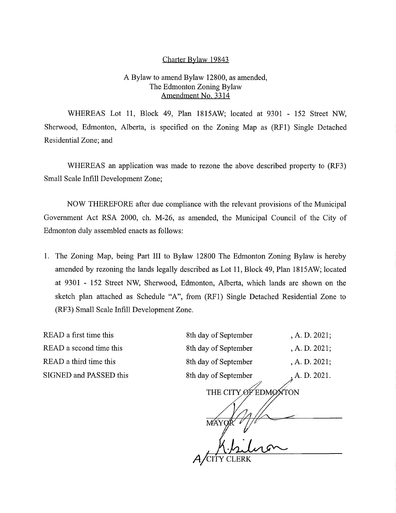## Charter Bylaw 19843

## A Bylaw to amend Bylaw 12800, as amended, The Edmonton Zoning Bylaw Amendment No. 3314

WHEREAS Lot 11, Block 49, Plan 1815AW; located at 9301 - 152 Street NW, Sherwood, Edmonton, Alberta, is specified on the Zoning Map as (RF1) Single Detached Residential Zone; and

WHEREAS an application was made to rezone the above described property to (RF3) Small Scale Infill Development Zone;

NOW THEREFORE after due compliance with the relevant provisions of the Municipal Government Act RSA 2000, ch. M-26, as amended, the Municipal Council of the City of Edmonton duly assembled enacts as follows:

1. The Zoning Map, being Part III to Bylaw 12800 The Edmonton Zoning Bylaw is hereby amended by rezoning the lands legally described as Lot 11, Block 49, Plan 1815AW; located at 9301 - 152 Street NW, Sherwood, Edmonton, Alberta, which lands are shown on the sketch plan attached as Schedule "A", from (RF1) Single Detached Residential Zone to (RF3) Small Scale Infill Development Zone.

READ a first time this 8th day of September , A. D. 2021; READ a second time this 8 READ a third time this 8 SIGNED and PASSED this 8th 8th day of September 4th  $\frac{8}{10}$ 

| sin day of September              | , A. D. 2021, |
|-----------------------------------|---------------|
| 3th day of September              | , A. D. 2021; |
| 3th day of September              | , A. D. 2021; |
| 3th day of September              | , A. D. 2021. |
| EDMONTON<br>THE CITY<br><b>MÁ</b> |               |
| ERK                               |               |
|                                   |               |